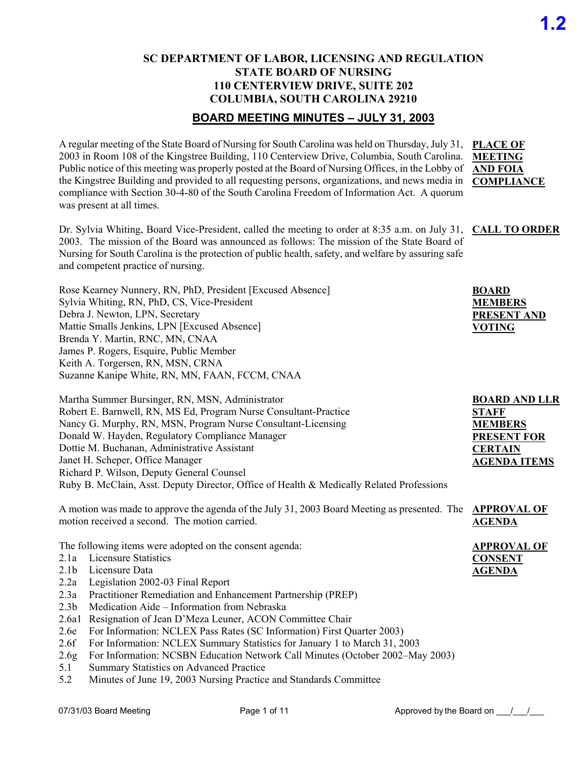### **SC DEPARTMENT OF LABOR, LICENSING AND REGULATION STATE BOARD OF NURSING 110 CENTERVIEW DRIVE, SUITE 202 COLUMBIA, SOUTH CAROLINA 29210**

### **BOARD MEETING MINUTES – JULY 31, 2003**

A regular meeting of the State Board of Nursing for South Carolina was held on Thursday, July 31, **PLACE OF**  2003 in Room 108 of the Kingstree Building, 110 Centerview Drive, Columbia, South Carolina. **MEETING**  Public notice of this meeting was properly posted at the Board of Nursing Offices, in the Lobby of **AND FOIA** the Kingstree Building and provided to all requesting persons, organizations, and news media in **COMPLIANCE** compliance with Section 30-4-80 of the South Carolina Freedom of Information Act. A quorum was present at all times.

Dr. Sylvia Whiting, Board Vice-President, called the meeting to order at 8:35 a.m. on July 31, **CALL TO ORDER** 2003. The mission of the Board was announced as follows: The mission of the State Board of Nursing for South Carolina is the protection of public health, safety, and welfare by assuring safe and competent practice of nursing.

| Rose Kearney Nunnery, RN, PhD, President [Excused Absence] |
|------------------------------------------------------------|
| Sylvia Whiting, RN, PhD, CS, Vice-President                |
| Debra J. Newton, LPN, Secretary                            |
| Mattie Smalls Jenkins, LPN [Excused Absence]               |
| Brenda Y. Martin, RNC, MN, CNAA                            |
| James P. Rogers, Esquire, Public Member                    |
| Keith A. Torgersen, RN, MSN, CRNA                          |
| Suzanne Kanipe White, RN, MN, FAAN, FCCM, CNAA             |

| Martha Summer Bursinger, RN, MSN, Administrator                                          | <b>BOARD AND LLR</b> |
|------------------------------------------------------------------------------------------|----------------------|
| Robert E. Barnwell, RN, MS Ed, Program Nurse Consultant-Practice                         | <b>STAFF</b>         |
| Nancy G. Murphy, RN, MSN, Program Nurse Consultant-Licensing                             | <b>MEMBERS</b>       |
| Donald W. Hayden, Regulatory Compliance Manager                                          | <b>PRESENT FOR</b>   |
| Dottie M. Buchanan, Administrative Assistant                                             | <b>CERTAIN</b>       |
| Janet H. Scheper, Office Manager                                                         | <b>AGENDA ITEMS</b>  |
| Richard P. Wilson, Deputy General Counsel                                                |                      |
| Ruby B. McClain, Asst. Deputy Director, Office of Health & Medically Related Professions |                      |

A motion was made to approve the agenda of the July 31, 2003 Board Meeting as presented. The **APPROVAL OF**  motion received a second. The motion carried. **AGENDA**

The following items were adopted on the consent agenda:

- 2.1a Licensure Statistics
- 2.1b Licensure Data
- 2.2a Legislation 2002-03 Final Report
- 2.3a Practitioner Remediation and Enhancement Partnership (PREP)
- 2.3b Medication Aide Information from Nebraska
- 2.6a1 Resignation of Jean D'Meza Leuner, ACON Committee Chair
- 2.6e For Information: NCLEX Pass Rates (SC Information) First Quarter 2003)
- 2.6f For Information: NCLEX Summary Statistics for January 1 to March 31, 2003
- 2.6g For Information: NCSBN Education Network Call Minutes (October 2002–May 2003)
- 5.1 Summary Statistics on Advanced Practice
- 5.2 Minutes of June 19, 2003 Nursing Practice and Standards Committee

| BOARD              |
|--------------------|
| <b>MEMBERS</b>     |
| <b>PRESENT AND</b> |
| <b>VOTING</b>      |

**APPROVAL OF** 

**CONSENT AGENDA**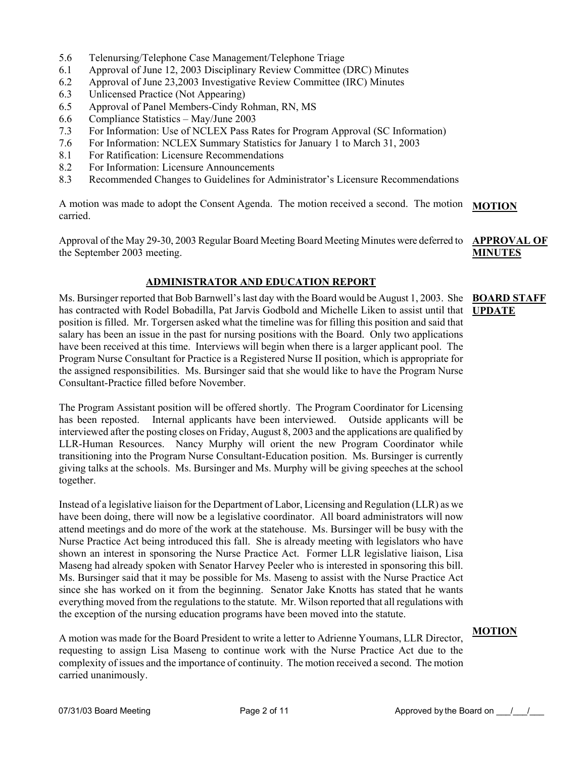- 5.6 Telenursing/Telephone Case Management/Telephone Triage
- 6.1 Approval of June 12, 2003 Disciplinary Review Committee (DRC) Minutes
- 6.2 Approval of June 23,2003 Investigative Review Committee (IRC) Minutes
- 6.3 Unlicensed Practice (Not Appearing)
- 6.5 Approval of Panel Members-Cindy Rohman, RN, MS
- 6.6 Compliance Statistics May/June 2003
- 7.3 For Information: Use of NCLEX Pass Rates for Program Approval (SC Information)
- 7.6 For Information: NCLEX Summary Statistics for January 1 to March 31, 2003
- 8.1 For Ratification: Licensure Recommendations
- 8.2 For Information: Licensure Announcements
- 8.3 Recommended Changes to Guidelines for Administrator's Licensure Recommendations

A motion was made to adopt the Consent Agenda. The motion received a second. The motion carried. **MOTION**

Approval of the May 29-30, 2003 Regular Board Meeting Board Meeting Minutes were deferred to the September 2003 meeting.

#### **APPROVAL OF MINUTES**

#### **ADMINISTRATOR AND EDUCATION REPORT**

Ms. Bursinger reported that Bob Barnwell's last day with the Board would be August 1, 2003. She has contracted with Rodel Bobadilla, Pat Jarvis Godbold and Michelle Liken to assist until that **UPDATE** position is filled. Mr. Torgersen asked what the timeline was for filling this position and said that salary has been an issue in the past for nursing positions with the Board. Only two applications have been received at this time. Interviews will begin when there is a larger applicant pool. The Program Nurse Consultant for Practice is a Registered Nurse II position, which is appropriate for the assigned responsibilities. Ms. Bursinger said that she would like to have the Program Nurse Consultant-Practice filled before November. **BOARD STAFF** 

The Program Assistant position will be offered shortly. The Program Coordinator for Licensing has been reposted. Internal applicants have been interviewed. Outside applicants will be interviewed after the posting closes on Friday, August 8, 2003 and the applications are qualified by LLR-Human Resources. Nancy Murphy will orient the new Program Coordinator while transitioning into the Program Nurse Consultant-Education position. Ms. Bursinger is currently giving talks at the schools. Ms. Bursinger and Ms. Murphy will be giving speeches at the school together.

Instead of a legislative liaison for the Department of Labor, Licensing and Regulation (LLR) as we have been doing, there will now be a legislative coordinator. All board administrators will now attend meetings and do more of the work at the statehouse. Ms. Bursinger will be busy with the Nurse Practice Act being introduced this fall. She is already meeting with legislators who have shown an interest in sponsoring the Nurse Practice Act. Former LLR legislative liaison, Lisa Maseng had already spoken with Senator Harvey Peeler who is interested in sponsoring this bill. Ms. Bursinger said that it may be possible for Ms. Maseng to assist with the Nurse Practice Act since she has worked on it from the beginning. Senator Jake Knotts has stated that he wants everything moved from the regulations to the statute. Mr. Wilson reported that all regulations with the exception of the nursing education programs have been moved into the statute.

A motion was made for the Board President to write a letter to Adrienne Youmans, LLR Director, requesting to assign Lisa Maseng to continue work with the Nurse Practice Act due to the complexity of issues and the importance of continuity. The motion received a second. The motion carried unanimously.

#### **MOTION**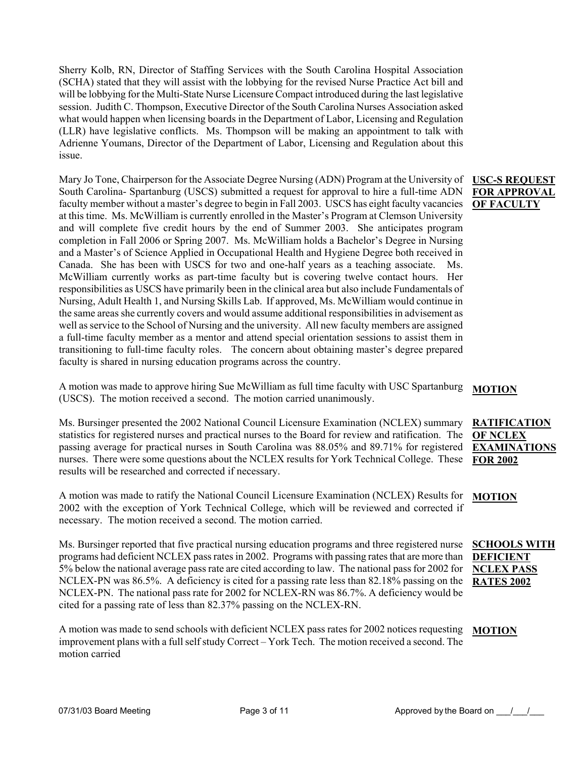Sherry Kolb, RN, Director of Staffing Services with the South Carolina Hospital Association (SCHA) stated that they will assist with the lobbying for the revised Nurse Practice Act bill and will be lobbying for the Multi-State Nurse Licensure Compact introduced during the last legislative session. Judith C. Thompson, Executive Director of the South Carolina Nurses Association asked what would happen when licensing boards in the Department of Labor, Licensing and Regulation (LLR) have legislative conflicts. Ms. Thompson will be making an appointment to talk with Adrienne Youmans, Director of the Department of Labor, Licensing and Regulation about this issue.

Mary Jo Tone, Chairperson for the Associate Degree Nursing (ADN) Program at the University of South Carolina- Spartanburg (USCS) submitted a request for approval to hire a full-time ADN faculty member without a master's degree to begin in Fall 2003. USCS has eight faculty vacancies at this time. Ms. McWilliam is currently enrolled in the Master's Program at Clemson University and will complete five credit hours by the end of Summer 2003. She anticipates program completion in Fall 2006 or Spring 2007. Ms. McWilliam holds a Bachelor's Degree in Nursing and a Master's of Science Applied in Occupational Health and Hygiene Degree both received in Canada. She has been with USCS for two and one-half years as a teaching associate. Ms. McWilliam currently works as part-time faculty but is covering twelve contact hours. Her responsibilities as USCS have primarily been in the clinical area but also include Fundamentals of Nursing, Adult Health 1, and Nursing Skills Lab. If approved, Ms. McWilliam would continue in the same areas she currently covers and would assume additional responsibilities in advisement as well as service to the School of Nursing and the university. All new faculty members are assigned a full-time faculty member as a mentor and attend special orientation sessions to assist them in transitioning to full-time faculty roles. The concern about obtaining master's degree prepared faculty is shared in nursing education programs across the country.

A motion was made to approve hiring Sue McWilliam as full time faculty with USC Spartanburg (USCS). The motion received a second. The motion carried unanimously.

Ms. Bursinger presented the 2002 National Council Licensure Examination (NCLEX) summary statistics for registered nurses and practical nurses to the Board for review and ratification. The passing average for practical nurses in South Carolina was 88.05% and 89.71% for registered nurses. There were some questions about the NCLEX results for York Technical College. These results will be researched and corrected if necessary.

A motion was made to ratify the National Council Licensure Examination (NCLEX) Results for 2002 with the exception of York Technical College, which will be reviewed and corrected if necessary. The motion received a second. The motion carried.

Ms. Bursinger reported that five practical nursing education programs and three registered nurse programs had deficient NCLEX pass rates in 2002. Programs with passing rates that are more than 5% below the national average pass rate are cited according to law. The national pass for 2002 for NCLEX-PN was 86.5%. A deficiency is cited for a passing rate less than 82.18% passing on the **RATES 2002** NCLEX-PN. The national pass rate for 2002 for NCLEX-RN was 86.7%. A deficiency would be cited for a passing rate of less than 82.37% passing on the NCLEX-RN.

A motion was made to send schools with deficient NCLEX pass rates for 2002 notices requesting improvement plans with a full self study Correct – York Tech. The motion received a second. The motion carried **MOTION**

#### **USC-S REQUEST FOR APPROVAL OF FACULTY**

#### **MOTION**

#### **RATIFICATION OF NCLEX EXAMINATIONS FOR 2002**

**MOTION**

**SCHOOLS WITH DEFICIENT NCLEX PASS**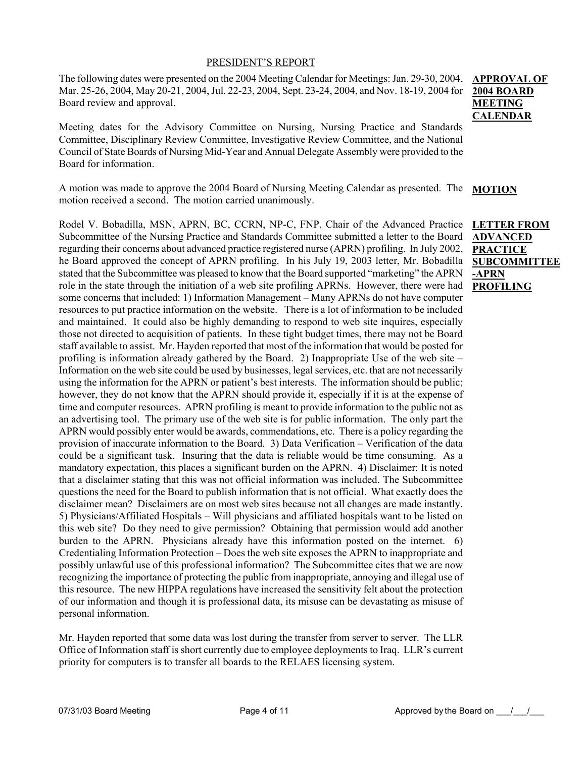#### PRESIDENT'S REPORT

The following dates were presented on the 2004 Meeting Calendar for Meetings: Jan. 29-30, 2004, Mar. 25-26, 2004, May 20-21, 2004, Jul. 22-23, 2004, Sept. 23-24, 2004, and Nov. 18-19, 2004 for Board review and approval.

Meeting dates for the Advisory Committee on Nursing, Nursing Practice and Standards Committee, Disciplinary Review Committee, Investigative Review Committee, and the National Council of State Boards of Nursing Mid-Year and Annual Delegate Assembly were provided to the Board for information.

A motion was made to approve the 2004 Board of Nursing Meeting Calendar as presented. The motion received a second. The motion carried unanimously. **MOTION**

Rodel V. Bobadilla, MSN, APRN, BC, CCRN, NP-C, FNP, Chair of the Advanced Practice Subcommittee of the Nursing Practice and Standards Committee submitted a letter to the Board regarding their concerns about advanced practice registered nurse (APRN) profiling. In July 2002, he Board approved the concept of APRN profiling. In his July 19, 2003 letter, Mr. Bobadilla stated that the Subcommittee was pleased to know that the Board supported "marketing" the APRN role in the state through the initiation of a web site profiling APRNs. However, there were had some concerns that included: 1) Information Management – Many APRNs do not have computer resources to put practice information on the website. There is a lot of information to be included and maintained. It could also be highly demanding to respond to web site inquires, especially those not directed to acquisition of patients. In these tight budget times, there may not be Board staff available to assist. Mr. Hayden reported that most of the information that would be posted for profiling is information already gathered by the Board. 2) Inappropriate Use of the web site – Information on the web site could be used by businesses, legal services, etc. that are not necessarily using the information for the APRN or patient's best interests. The information should be public; however, they do not know that the APRN should provide it, especially if it is at the expense of time and computer resources. APRN profiling is meant to provide information to the public not as an advertising tool. The primary use of the web site is for public information. The only part the APRN would possibly enter would be awards, commendations, etc. There is a policy regarding the provision of inaccurate information to the Board. 3) Data Verification – Verification of the data could be a significant task. Insuring that the data is reliable would be time consuming. As a mandatory expectation, this places a significant burden on the APRN. 4) Disclaimer: It is noted that a disclaimer stating that this was not official information was included. The Subcommittee questions the need for the Board to publish information that is not official. What exactly does the disclaimer mean? Disclaimers are on most web sites because not all changes are made instantly. 5) Physicians/Affiliated Hospitals – Will physicians and affiliated hospitals want to be listed on this web site? Do they need to give permission? Obtaining that permission would add another burden to the APRN. Physicians already have this information posted on the internet. 6) Credentialing Information Protection – Does the web site exposes the APRN to inappropriate and possibly unlawful use of this professional information? The Subcommittee cites that we are now recognizing the importance of protecting the public from inappropriate, annoying and illegal use of this resource. The new HIPPA regulations have increased the sensitivity felt about the protection of our information and though it is professional data, its misuse can be devastating as misuse of personal information.

Mr. Hayden reported that some data was lost during the transfer from server to server. The LLR Office of Information staff is short currently due to employee deployments to Iraq. LLR's current priority for computers is to transfer all boards to the RELAES licensing system.

### **APPROVAL OF 2004 BOARD MEETING CALENDAR**

**LETTER FROM ADVANCED PRACTICE SUBCOMMITTEE -APRN PROFILING**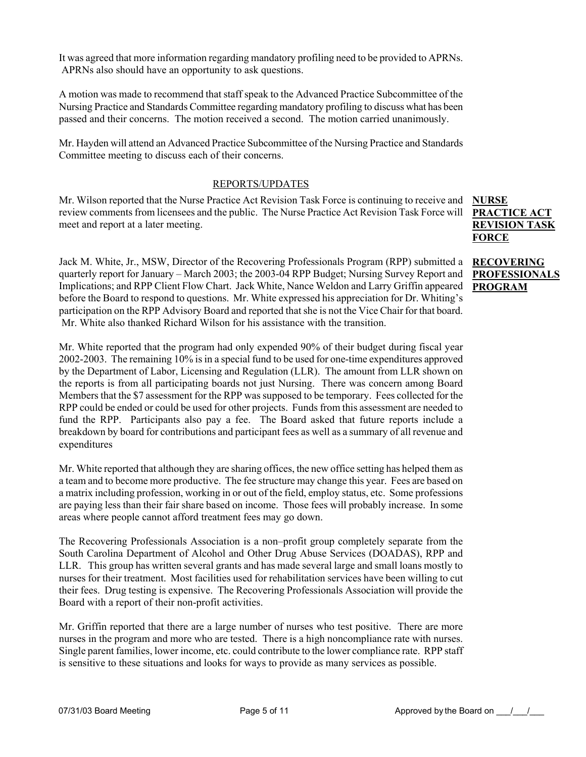It was agreed that more information regarding mandatory profiling need to be provided to APRNs. APRNs also should have an opportunity to ask questions.

A motion was made to recommend that staff speak to the Advanced Practice Subcommittee of the Nursing Practice and Standards Committee regarding mandatory profiling to discuss what has been passed and their concerns. The motion received a second. The motion carried unanimously.

Mr. Hayden will attend an Advanced Practice Subcommittee of the Nursing Practice and Standards Committee meeting to discuss each of their concerns.

#### REPORTS/UPDATES

Mr. Wilson reported that the Nurse Practice Act Revision Task Force is continuing to receive and review comments from licensees and the public. The Nurse Practice Act Revision Task Force will meet and report at a later meeting.

Jack M. White, Jr., MSW, Director of the Recovering Professionals Program (RPP) submitted a quarterly report for January – March 2003; the 2003-04 RPP Budget; Nursing Survey Report and Implications; and RPP Client Flow Chart. Jack White, Nance Weldon and Larry Griffin appeared PROGRAM before the Board to respond to questions. Mr. White expressed his appreciation for Dr. Whiting's participation on the RPP Advisory Board and reported that she is not the Vice Chair for that board. Mr. White also thanked Richard Wilson for his assistance with the transition.

Mr. White reported that the program had only expended 90% of their budget during fiscal year 2002-2003. The remaining 10% is in a special fund to be used for one-time expenditures approved by the Department of Labor, Licensing and Regulation (LLR). The amount from LLR shown on the reports is from all participating boards not just Nursing. There was concern among Board Members that the \$7 assessment for the RPP was supposed to be temporary. Fees collected for the RPP could be ended or could be used for other projects. Funds from this assessment are needed to fund the RPP. Participants also pay a fee. The Board asked that future reports include a breakdown by board for contributions and participant fees as well as a summary of all revenue and expenditures

Mr. White reported that although they are sharing offices, the new office setting has helped them as a team and to become more productive. The fee structure may change this year. Fees are based on a matrix including profession, working in or out of the field, employ status, etc. Some professions are paying less than their fair share based on income. Those fees will probably increase. In some areas where people cannot afford treatment fees may go down.

The Recovering Professionals Association is a non–profit group completely separate from the South Carolina Department of Alcohol and Other Drug Abuse Services (DOADAS), RPP and LLR. This group has written several grants and has made several large and small loans mostly to nurses for their treatment. Most facilities used for rehabilitation services have been willing to cut their fees. Drug testing is expensive. The Recovering Professionals Association will provide the Board with a report of their non-profit activities.

Mr. Griffin reported that there are a large number of nurses who test positive. There are more nurses in the program and more who are tested. There is a high noncompliance rate with nurses. Single parent families, lower income, etc. could contribute to the lower compliance rate. RPP staff is sensitive to these situations and looks for ways to provide as many services as possible.

**NURSE PRACTICE ACT REVISION TASK FORCE**

**RECOVERING PROFESSIONALS**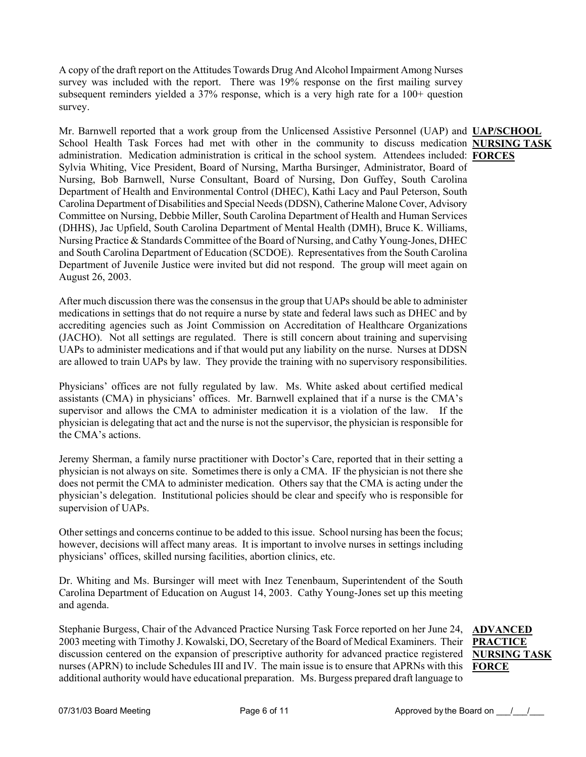A copy of the draft report on the Attitudes Towards Drug And Alcohol Impairment Among Nurses survey was included with the report. There was 19% response on the first mailing survey subsequent reminders yielded a 37% response, which is a very high rate for a 100+ question survey.

Mr. Barnwell reported that a work group from the Unlicensed Assistive Personnel (UAP) and **UAP/SCHOOL**  School Health Task Forces had met with other in the community to discuss medication **NURSING TASK** administration. Medication administration is critical in the school system. Attendees included: **FORCES** Sylvia Whiting, Vice President, Board of Nursing, Martha Bursinger, Administrator, Board of Nursing, Bob Barnwell, Nurse Consultant, Board of Nursing, Don Guffey, South Carolina Department of Health and Environmental Control (DHEC), Kathi Lacy and Paul Peterson, South Carolina Department of Disabilities and Special Needs (DDSN), Catherine Malone Cover, Advisory Committee on Nursing, Debbie Miller, South Carolina Department of Health and Human Services (DHHS), Jac Upfield, South Carolina Department of Mental Health (DMH), Bruce K. Williams, Nursing Practice & Standards Committee of the Board of Nursing, and Cathy Young-Jones, DHEC and South Carolina Department of Education (SCDOE). Representatives from the South Carolina Department of Juvenile Justice were invited but did not respond. The group will meet again on August 26, 2003.

After much discussion there was the consensus in the group that UAPs should be able to administer medications in settings that do not require a nurse by state and federal laws such as DHEC and by accrediting agencies such as Joint Commission on Accreditation of Healthcare Organizations (JACHO). Not all settings are regulated. There is still concern about training and supervising UAPs to administer medications and if that would put any liability on the nurse. Nurses at DDSN are allowed to train UAPs by law. They provide the training with no supervisory responsibilities.

Physicians' offices are not fully regulated by law. Ms. White asked about certified medical assistants (CMA) in physicians' offices. Mr. Barnwell explained that if a nurse is the CMA's supervisor and allows the CMA to administer medication it is a violation of the law. If the physician is delegating that act and the nurse is not the supervisor, the physician is responsible for the CMA's actions.

Jeremy Sherman, a family nurse practitioner with Doctor's Care, reported that in their setting a physician is not always on site. Sometimes there is only a CMA. IF the physician is not there she does not permit the CMA to administer medication. Others say that the CMA is acting under the physician's delegation. Institutional policies should be clear and specify who is responsible for supervision of UAPs.

Other settings and concerns continue to be added to this issue. School nursing has been the focus; however, decisions will affect many areas. It is important to involve nurses in settings including physicians' offices, skilled nursing facilities, abortion clinics, etc.

Dr. Whiting and Ms. Bursinger will meet with Inez Tenenbaum, Superintendent of the South Carolina Department of Education on August 14, 2003. Cathy Young-Jones set up this meeting and agenda.

Stephanie Burgess, Chair of the Advanced Practice Nursing Task Force reported on her June 24, **ADVANCED**  2003 meeting with Timothy J. Kowalski, DO, Secretary of the Board of Medical Examiners. Their **PRACTICE**  discussion centered on the expansion of prescriptive authority for advanced practice registered **NURSING TASK**  nurses (APRN) to include Schedules III and IV. The main issue is to ensure that APRNs with this **FORCE**additional authority would have educational preparation. Ms. Burgess prepared draft language to

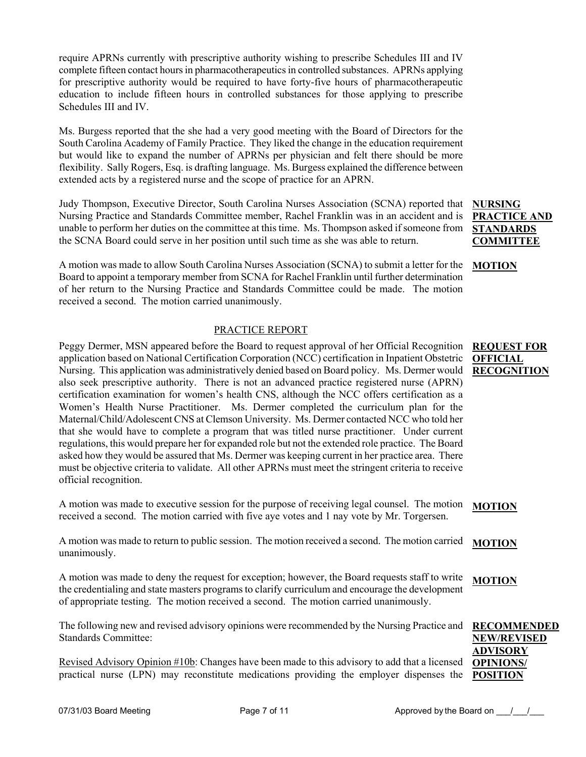require APRNs currently with prescriptive authority wishing to prescribe Schedules III and IV complete fifteen contact hours in pharmacotherapeutics in controlled substances. APRNs applying for prescriptive authority would be required to have forty-five hours of pharmacotherapeutic education to include fifteen hours in controlled substances for those applying to prescribe Schedules III and IV.

Ms. Burgess reported that the she had a very good meeting with the Board of Directors for the South Carolina Academy of Family Practice. They liked the change in the education requirement but would like to expand the number of APRNs per physician and felt there should be more flexibility. Sally Rogers, Esq. is drafting language. Ms. Burgess explained the difference between extended acts by a registered nurse and the scope of practice for an APRN.

Judy Thompson, Executive Director, South Carolina Nurses Association (SCNA) reported that Nursing Practice and Standards Committee member, Rachel Franklin was in an accident and is unable to perform her duties on the committee at this time. Ms. Thompson asked if someone from the SCNA Board could serve in her position until such time as she was able to return.

A motion was made to allow South Carolina Nurses Association (SCNA) to submit a letter for the **MOTION** Board to appoint a temporary member from SCNA for Rachel Franklin until further determination of her return to the Nursing Practice and Standards Committee could be made. The motion received a second. The motion carried unanimously.

#### PRACTICE REPORT

Peggy Dermer, MSN appeared before the Board to request approval of her Official Recognition application based on National Certification Corporation (NCC) certification in Inpatient Obstetric Nursing. This application was administratively denied based on Board policy. Ms. Dermer would also seek prescriptive authority. There is not an advanced practice registered nurse (APRN) certification examination for women's health CNS, although the NCC offers certification as a Women's Health Nurse Practitioner. Ms. Dermer completed the curriculum plan for the Maternal/Child/Adolescent CNS at Clemson University. Ms. Dermer contacted NCC who told her that she would have to complete a program that was titled nurse practitioner. Under current regulations, this would prepare her for expanded role but not the extended role practice. The Board asked how they would be assured that Ms. Dermer was keeping current in her practice area. There must be objective criteria to validate. All other APRNs must meet the stringent criteria to receive official recognition.

A motion was made to executive session for the purpose of receiving legal counsel. The motion received a second. The motion carried with five aye votes and 1 nay vote by Mr. Torgersen. **MOTION**

A motion was made to return to public session. The motion received a second. The motion carried unanimously. **MOTION**

A motion was made to deny the request for exception; however, the Board requests staff to write the credentialing and state masters programs to clarify curriculum and encourage the development of appropriate testing. The motion received a second. The motion carried unanimously. **MOTION**

The following new and revised advisory opinions were recommended by the Nursing Practice and Standards Committee: **RECOMMENDED NEW/REVISED** 

Revised Advisory Opinion #10b: Changes have been made to this advisory to add that a licensed practical nurse (LPN) may reconstitute medications providing the employer dispenses the **OPINIONS/ POSITION** 

**NURSING PRACTICE AND STANDARDS COMMITTEE**

#### **REQUEST FOR OFFICIAL RECOGNITION**

**ADVISORY**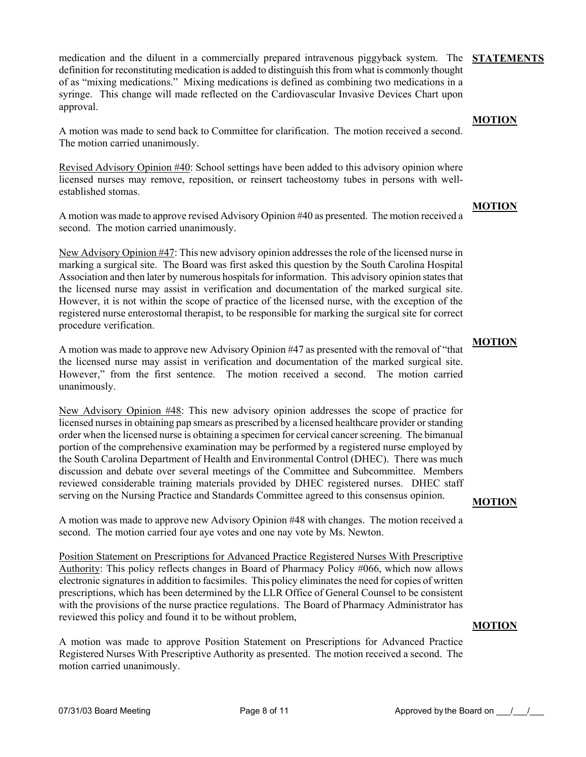medication and the diluent in a commercially prepared intravenous piggyback system. The **STATEMENTS** definition for reconstituting medication is added to distinguish this from what is commonly thought of as "mixing medications." Mixing medications is defined as combining two medications in a syringe. This change will made reflected on the Cardiovascular Invasive Devices Chart upon approval.

A motion was made to send back to Committee for clarification. The motion received a second. The motion carried unanimously.

Revised Advisory Opinion #40: School settings have been added to this advisory opinion where licensed nurses may remove, reposition, or reinsert tacheostomy tubes in persons with wellestablished stomas.

A motion was made to approve revised Advisory Opinion #40 as presented. The motion received a second. The motion carried unanimously.

New Advisory Opinion #47: This new advisory opinion addresses the role of the licensed nurse in marking a surgical site. The Board was first asked this question by the South Carolina Hospital Association and then later by numerous hospitals for information. This advisory opinion states that the licensed nurse may assist in verification and documentation of the marked surgical site. However, it is not within the scope of practice of the licensed nurse, with the exception of the registered nurse enterostomal therapist, to be responsible for marking the surgical site for correct procedure verification.

A motion was made to approve new Advisory Opinion #47 as presented with the removal of "that the licensed nurse may assist in verification and documentation of the marked surgical site. However," from the first sentence. The motion received a second. The motion carried unanimously.

New Advisory Opinion #48: This new advisory opinion addresses the scope of practice for licensed nurses in obtaining pap smears as prescribed by a licensed healthcare provider or standing order when the licensed nurse is obtaining a specimen for cervical cancer screening. The bimanual portion of the comprehensive examination may be performed by a registered nurse employed by the South Carolina Department of Health and Environmental Control (DHEC). There was much discussion and debate over several meetings of the Committee and Subcommittee. Members reviewed considerable training materials provided by DHEC registered nurses. DHEC staff serving on the Nursing Practice and Standards Committee agreed to this consensus opinion.

A motion was made to approve new Advisory Opinion #48 with changes. The motion received a second. The motion carried four aye votes and one nay vote by Ms. Newton.

Position Statement on Prescriptions for Advanced Practice Registered Nurses With Prescriptive Authority: This policy reflects changes in Board of Pharmacy Policy #066, which now allows electronic signatures in addition to facsimiles. This policy eliminates the need for copies of written prescriptions, which has been determined by the LLR Office of General Counsel to be consistent with the provisions of the nurse practice regulations. The Board of Pharmacy Administrator has reviewed this policy and found it to be without problem,

A motion was made to approve Position Statement on Prescriptions for Advanced Practice Registered Nurses With Prescriptive Authority as presented. The motion received a second. The motion carried unanimously.

## **MOTION**

#### **MOTION**

**MOTION**

## **MOTION**

**MOTION**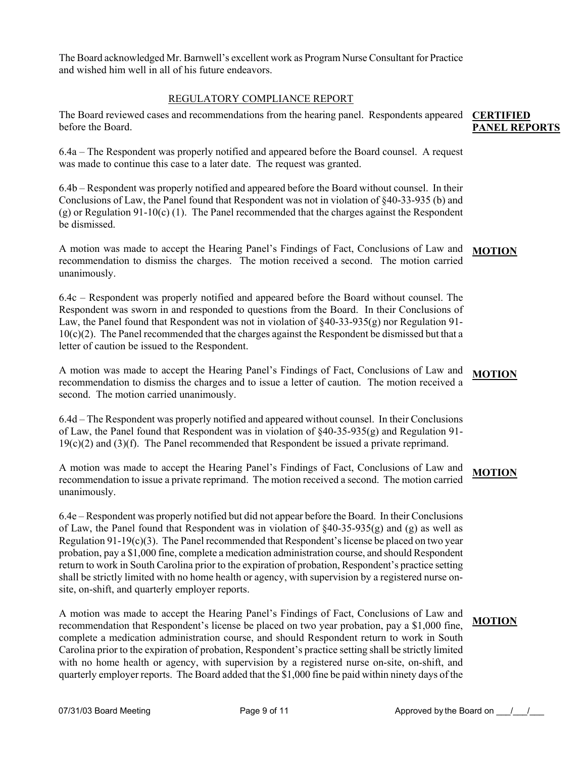The Board acknowledged Mr. Barnwell's excellent work as Program Nurse Consultant for Practice and wished him well in all of his future endeavors.

#### REGULATORY COMPLIANCE REPORT

The Board reviewed cases and recommendations from the hearing panel. Respondents appeared **CERTIFIED**  before the Board. **PANEL REPORTS**

6.4a – The Respondent was properly notified and appeared before the Board counsel. A request was made to continue this case to a later date. The request was granted.

6.4b – Respondent was properly notified and appeared before the Board without counsel. In their Conclusions of Law, the Panel found that Respondent was not in violation of §40-33-935 (b) and (g) or Regulation 91-10(c) (1). The Panel recommended that the charges against the Respondent be dismissed.

A motion was made to accept the Hearing Panel's Findings of Fact, Conclusions of Law and recommendation to dismiss the charges. The motion received a second. The motion carried unanimously. **MOTION**

6.4c – Respondent was properly notified and appeared before the Board without counsel. The Respondent was sworn in and responded to questions from the Board. In their Conclusions of Law, the Panel found that Respondent was not in violation of  $\S 40-33-935(g)$  nor Regulation 91- $10(c)(2)$ . The Panel recommended that the charges against the Respondent be dismissed but that a letter of caution be issued to the Respondent.

A motion was made to accept the Hearing Panel's Findings of Fact, Conclusions of Law and recommendation to dismiss the charges and to issue a letter of caution. The motion received a second. The motion carried unanimously. **MOTION**

6.4d – The Respondent was properly notified and appeared without counsel. In their Conclusions of Law, the Panel found that Respondent was in violation of  $\frac{840-35-935(g)}{g}$  and Regulation 91- $19(c)(2)$  and  $(3)(f)$ . The Panel recommended that Respondent be issued a private reprimand.

A motion was made to accept the Hearing Panel's Findings of Fact, Conclusions of Law and recommendation to issue a private reprimand. The motion received a second. The motion carried unanimously. **MOTION**

6.4e – Respondent was properly notified but did not appear before the Board. In their Conclusions of Law, the Panel found that Respondent was in violation of  $\S40-35-935(g)$  and (g) as well as Regulation  $91-19(c)(3)$ . The Panel recommended that Respondent's license be placed on two year probation, pay a \$1,000 fine, complete a medication administration course, and should Respondent return to work in South Carolina prior to the expiration of probation, Respondent's practice setting shall be strictly limited with no home health or agency, with supervision by a registered nurse onsite, on-shift, and quarterly employer reports.

A motion was made to accept the Hearing Panel's Findings of Fact, Conclusions of Law and recommendation that Respondent's license be placed on two year probation, pay a \$1,000 fine, complete a medication administration course, and should Respondent return to work in South Carolina prior to the expiration of probation, Respondent's practice setting shall be strictly limited with no home health or agency, with supervision by a registered nurse on-site, on-shift, and quarterly employer reports. The Board added that the \$1,000 fine be paid within ninety days of the **MOTION**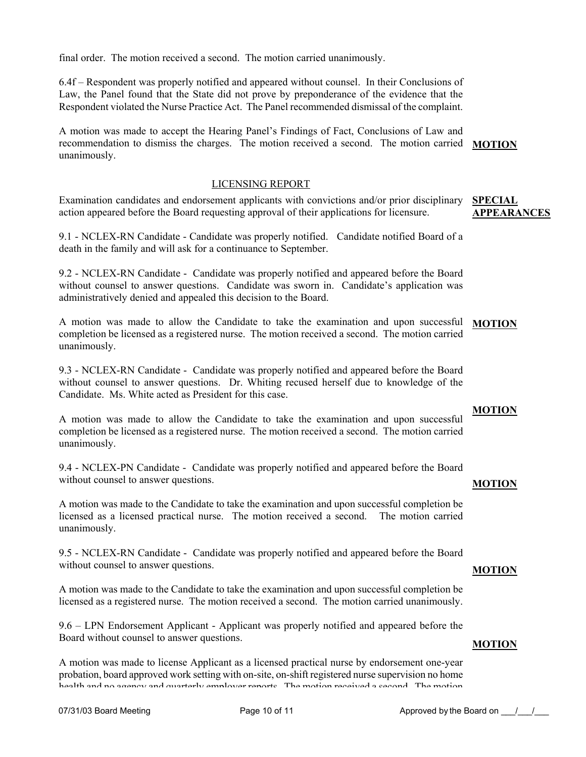final order. The motion received a second. The motion carried unanimously.

6.4f – Respondent was properly notified and appeared without counsel. In their Conclusions of Law, the Panel found that the State did not prove by preponderance of the evidence that the Respondent violated the Nurse Practice Act. The Panel recommended dismissal of the complaint.

A motion was made to accept the Hearing Panel's Findings of Fact, Conclusions of Law and recommendation to dismiss the charges. The motion received a second. The motion carried **MOTION** unanimously.

#### LICENSING REPORT

Examination candidates and endorsement applicants with convictions and/or prior disciplinary action appeared before the Board requesting approval of their applications for licensure.

9.1 - NCLEX-RN Candidate - Candidate was properly notified. Candidate notified Board of a death in the family and will ask for a continuance to September.

9.2 - NCLEX-RN Candidate - Candidate was properly notified and appeared before the Board without counsel to answer questions. Candidate was sworn in. Candidate's application was administratively denied and appealed this decision to the Board.

A motion was made to allow the Candidate to take the examination and upon successful **MOTION** completion be licensed as a registered nurse. The motion received a second. The motion carried unanimously.

9.3 - NCLEX-RN Candidate - Candidate was properly notified and appeared before the Board without counsel to answer questions. Dr. Whiting recused herself due to knowledge of the Candidate. Ms. White acted as President for this case.

A motion was made to allow the Candidate to take the examination and upon successful completion be licensed as a registered nurse. The motion received a second. The motion carried unanimously.

9.4 - NCLEX-PN Candidate - Candidate was properly notified and appeared before the Board without counsel to answer questions.

#### **MOTION**

**MOTION**

**MOTION**

A motion was made to the Candidate to take the examination and upon successful completion be licensed as a licensed practical nurse. The motion received a second. The motion carried unanimously.

9.5 - NCLEX-RN Candidate - Candidate was properly notified and appeared before the Board without counsel to answer questions.

A motion was made to the Candidate to take the examination and upon successful completion be licensed as a registered nurse. The motion received a second. The motion carried unanimously.

9.6 – LPN Endorsement Applicant - Applicant was properly notified and appeared before the Board without counsel to answer questions.

A motion was made to license Applicant as a licensed practical nurse by endorsement one-year probation, board approved work setting with on-site, on-shift registered nurse supervision no home health and no agency and quarterly employer reports The motion received a second The motion

#### **SPECIAL APPEARANCES**

# **MOTION**